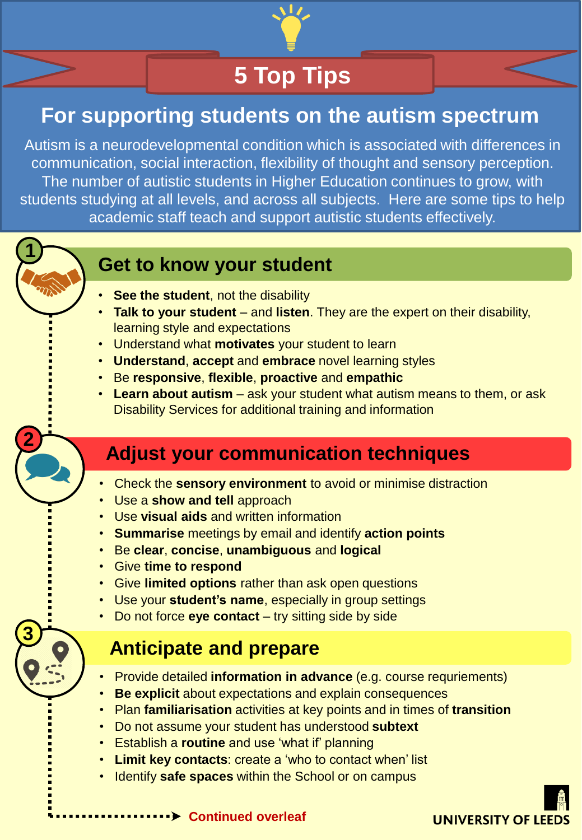

# **5 Top Tips**

## **For supporting students on the autism spectrum**

Autism is a neurodevelopmental condition which is associated with differences in communication, social interaction, flexibility of thought and sensory perception. The number of autistic students in Higher Education continues to grow, with students studying at all levels, and across all subjects. Here are some tips to help academic staff teach and support autistic students effectively.



**2**

**3**

#### **Get to know your student**

- **See the student, not the disability**
- **Talk to your student**  and **listen**. They are the expert on their disability, learning style and expectations
- Understand what **motivates** your student to learn
- **Understand**, **accept** and **embrace** novel learning styles
- Be **responsive**, **flexible**, **proactive** and **empathic**
- **Learn about autism**  ask your student what autism means to them, or ask Disability Services for additional training and information

#### **Adjust your communication techniques**

- Check the **sensory environment** to avoid or minimise distraction
- Use a **show and tell** approach
- Use **visual aids** and written information
- **Summarise** meetings by email and identify **action points**
- Be **clear**, **concise**, **unambiguous** and **logical**
- Give **time to respond**
- Give **limited options** rather than ask open questions
- Use your **student's name**, especially in group settings
- Do not force **eye contact**  try sitting side by side

# **Anticipate and prepare**

- Provide detailed **information in advance** (e.g. course requriements)
- **Be explicit** about expectations and explain consequences
- Plan **familiarisation** activities at key points and in times of **transition**
- Do not assume your student has understood **subtext**
- Establish a **routine** and use 'what if' planning
- **Limit key contacts**: create a 'who to contact when' list
- Identify **safe spaces** within the School or on campus